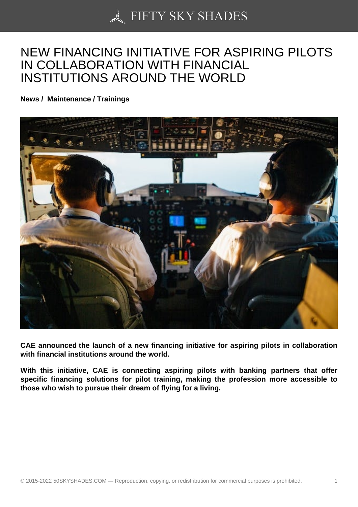## [NEW FINANCING INIT](https://50skyshades.com)IATIVE FOR ASPIRING PILOTS IN COLLABORATION WITH FINANCIAL INSTITUTIONS AROUND THE WORLD

News / Maintenance / Trainings

CAE announced the launch of a new financing initiative for aspiring pilots in collaboration with financial institutions around the world.

With this initiative, CAE is connecting aspiring pilots with banking partners that offer specific financing solutions for pilot training, making the profession more accessible to those who wish to pursue their dream of flying for a living.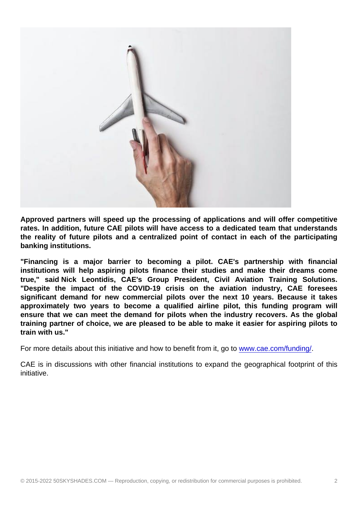Approved partners will speed up the processing of applications and will offer competitive rates. In addition, future CAE pilots will have access to a dedicated team that understands the reality of future pilots and a centralized point of contact in each of the participating banking institutions.

"Financing is a major barrier to becoming a pilot. CAE's partnership with financial institutions will help aspiring pilots finance their studies and make their dreams come true," said Nick Leontidis, CAE's Group President, Civil Aviation Training Solutions. "Despite the impact of the COVID-19 crisis on the aviation industry, CAE foresees significant demand for new commercial pilots over the next 10 years. Because it takes approximately two years to become a qualified airline pilot, this funding program will ensure that we can meet the demand for pilots when the industry recovers. As the global training partner of choice, we are pleased to be able to make it easier for aspiring pilots to train with us."

For more details about this initiative and how to benefit from it, go to www.cae.com/funding/.

CAE is in discussions with other financial institutions to expand the geographical footprint of this initiative.